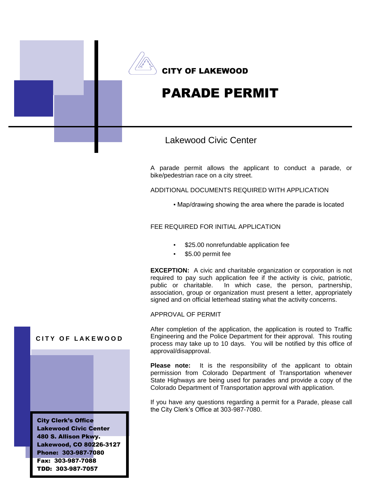

# PARADE PERMIT

### Lakewood Civic Center

A parade permit allows the applicant to conduct a parade, or bike/pedestrian race on a city street.

ADDITIONAL DOCUMENTS REQUIRED WITH APPLICATION

▪ Map/drawing showing the area where the parade is located

#### FEE REQUIRED FOR INITIAL APPLICATION

- \$25.00 nonrefundable application fee
- \$5.00 permit fee

**EXCEPTION:** A civic and charitable organization or corporation is not required to pay such application fee if the activity is civic, patriotic, public or charitable. In which case, the person, partnership, association, group or organization must present a letter, appropriately signed and on official letterhead stating what the activity concerns.

#### APPROVAL OF PERMIT

After completion of the application, the application is routed to Traffic Engineering and the Police Department for their approval. This routing process may take up to 10 days. You will be notified by this office of approval/disapproval.

**Please note:** It is the responsibility of the applicant to obtain permission from Colorado Department of Transportation whenever State Highways are being used for parades and provide a copy of the Colorado Department of Transportation approval with application.

If you have any questions regarding a permit for a Parade, please call the City Clerk's Office at 303-987-7080.

#### **CITY OF LAKEWOOD**

City Clerk's Office Lakewood Civic Center 480 S. Allison Pkwy. Lakewood, CO 80226-3127 Phone: 303-987-7080 Fax: 303-987-7088 TDD: 303-987-7057